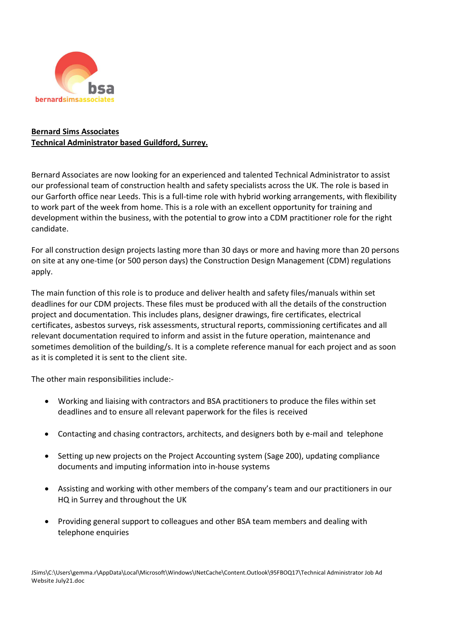

## Bernard Sims Associates Technical Administrator based Guildford, Surrey.

Bernard Associates are now looking for an experienced and talented Technical Administrator to assist our professional team of construction health and safety specialists across the UK. The role is based in our Garforth office near Leeds. This is a full-time role with hybrid working arrangements, with flexibility to work part of the week from home. This is a role with an excellent opportunity for training and development within the business, with the potential to grow into a CDM practitioner role for the right candidate.

For all construction design projects lasting more than 30 days or more and having more than 20 persons on site at any one-time (or 500 person days) the Construction Design Management (CDM) regulations apply.

The main function of this role is to produce and deliver health and safety files/manuals within set deadlines for our CDM projects. These files must be produced with all the details of the construction project and documentation. This includes plans, designer drawings, fire certificates, electrical certificates, asbestos surveys, risk assessments, structural reports, commissioning certificates and all relevant documentation required to inform and assist in the future operation, maintenance and sometimes demolition of the building/s. It is a complete reference manual for each project and as soon as it is completed it is sent to the client site.

The other main responsibilities include:-

- Working and liaising with contractors and BSA practitioners to produce the files within set deadlines and to ensure all relevant paperwork for the files is received
- Contacting and chasing contractors, architects, and designers both by e-mail and telephone
- Setting up new projects on the Project Accounting system (Sage 200), updating compliance documents and imputing information into in-house systems
- Assisting and working with other members of the company's team and our practitioners in our HQ in Surrey and throughout the UK
- Providing general support to colleagues and other BSA team members and dealing with telephone enquiries